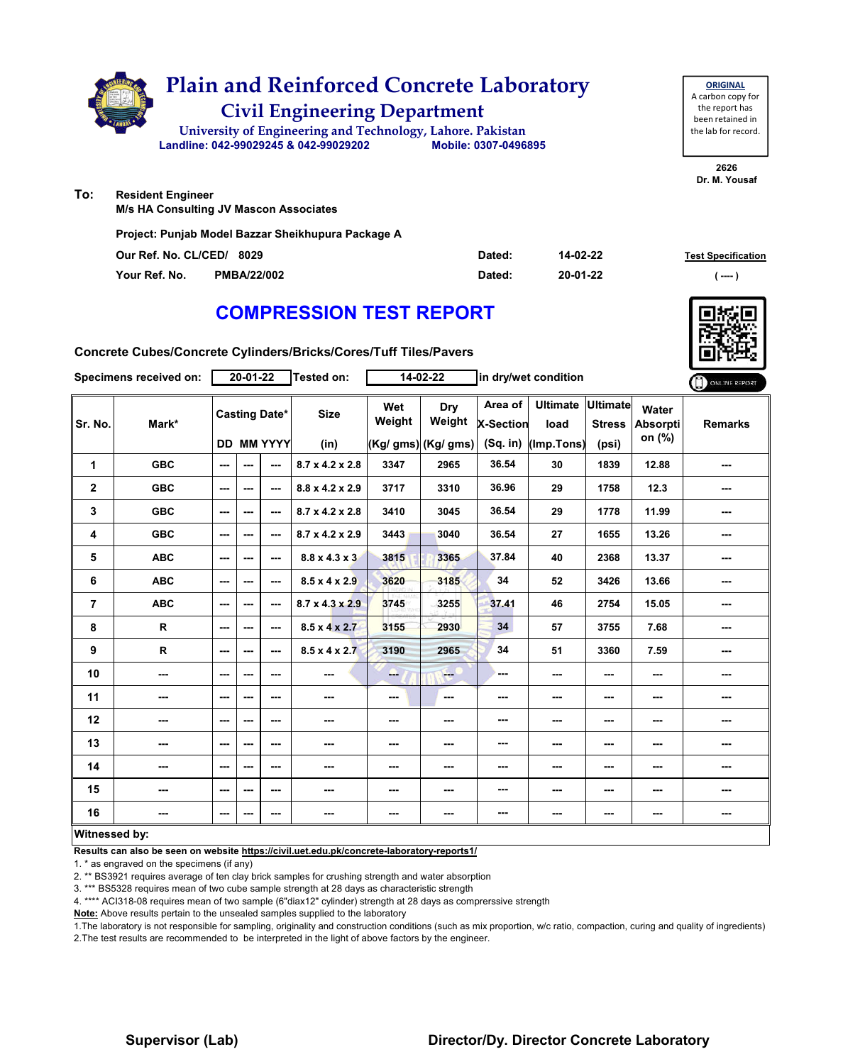

# **COMPRESSION TEST REPORT**

**Concrete Cubes/Concrete Cylinders/Bricks/Cores/Tuff Tiles/Pavers**

| Specimens received on: |            | $20 - 01 - 22$           |                |                          | Tested on:                  | 14-02-22      |                     | in dry/wet condition        |                         |                                  |                   | ONLINE REPORT  |
|------------------------|------------|--------------------------|----------------|--------------------------|-----------------------------|---------------|---------------------|-----------------------------|-------------------------|----------------------------------|-------------------|----------------|
| Sr. No.                | Mark*      |                          |                | <b>Casting Date*</b>     | <b>Size</b>                 | Wet<br>Weight | Dry<br>Weight       | Area of<br><b>X-Section</b> | <b>Ultimate</b><br>load | <b>Ultimate</b><br><b>Stress</b> | Water<br>Absorpti | <b>Remarks</b> |
|                        |            |                          |                | <b>DD MM YYYY</b>        | (in)                        |               | (Kg/ gms) (Kg/ gms) | $(Sq.$ in)                  | (Imp.Tons)              | (psi)                            | on (%)            |                |
| 1                      | <b>GBC</b> | $--$                     | ---            | ---                      | $8.7 \times 4.2 \times 2.8$ | 3347          | 2965                | 36.54                       | 30                      | 1839                             | 12.88             |                |
| $\mathbf{2}$           | <b>GBC</b> | $\sim$ $\sim$            | ---            | ---                      | $8.8 \times 4.2 \times 2.9$ | 3717          | 3310                | 36.96                       | 29                      | 1758                             | 12.3              | ---            |
| 3                      | <b>GBC</b> | $\overline{\phantom{a}}$ | ---            | ---                      | 8.7 x 4.2 x 2.8             | 3410          | 3045                | 36.54                       | 29                      | 1778                             | 11.99             | ---            |
| 4                      | <b>GBC</b> | $\sim$                   | ---            | ---                      | $8.7 \times 4.2 \times 2.9$ | 3443          | 3040                | 36.54                       | 27                      | 1655                             | 13.26             | ---            |
| 5                      | <b>ABC</b> | $\overline{a}$           | $\overline{a}$ | ---                      | $8.8 \times 4.3 \times 3$   | 3815          | 3365                | 37.84                       | 40                      | 2368                             | 13.37             | ---            |
| 6                      | <b>ABC</b> | ---                      | ---            | ---                      | $8.5 \times 4 \times 2.9$   | 3620          | 3185                | 34                          | 52                      | 3426                             | 13.66             | ---            |
| $\overline{7}$         | <b>ABC</b> | ---                      | ---            | ---                      | $8.7 \times 4.3 \times 2.9$ | 3745          | 3255                | 37.41                       | 46                      | 2754                             | 15.05             | ---            |
| 8                      | ${\sf R}$  | $\sim$ $\sim$            | ---            | ---                      | $8.5 \times 4 \times 2.7$   | 3155          | 2930                | 34                          | 57                      | 3755                             | 7.68              | ---            |
| 9                      | R          | ---                      | ---            | ---                      | $8.5 \times 4 \times 2.7$   | 3190          | 2965                | 34                          | 51                      | 3360                             | 7.59              | ---            |
| 10                     | ---        | $\sim$                   | ---            | $\overline{\phantom{a}}$ | ---                         | --            | $-1$                | ---                         | ---                     | ---                              | ---               | ---            |
| 11                     | ---        | $\sim$                   | ---            | ---                      | $\cdots$                    | ---           | $\sim$              | ---                         | ---                     | $--$                             | ---               | ---            |
| 12                     | ---        | ---                      | ---            | ---                      | ---                         | ---           | ---                 | ---                         | ---                     | ---                              | ---               | ---            |
| 13                     | ---        | $--$                     | ---            | ---                      | ---                         | ---           | ---                 | ---                         | ---                     | ---                              | ---               | ---            |
| 14                     | ---        | $\sim$ $\sim$            | ---            | ---                      | $\cdots$                    | ---           | ---                 | ---                         | ---                     | $--$                             | ---               | ---            |
| 15                     | ---        | $--$                     | ---            | ---                      | ---                         | ---           | ---                 | ---                         | ---                     | ---                              | ---               | ---            |
| 16                     | ---        | $--$                     | ---            | ---                      | ---                         | ---           | ---                 | ---                         | ---                     | ---                              | ---               | ---            |
| Witnessed by:          |            |                          |                |                          |                             |               |                     |                             |                         |                                  |                   |                |

#### **Witnessed by:**

**Results can also be seen on website https://civil.uet.edu.pk/concrete-laboratory-reports1/**

1. \* as engraved on the specimens (if any)

2. \*\* BS3921 requires average of ten clay brick samples for crushing strength and water absorption

3. \*\*\* BS5328 requires mean of two cube sample strength at 28 days as characteristic strength

4. \*\*\*\* ACI318-08 requires mean of two sample (6"diax12" cylinder) strength at 28 days as comprerssive strength

**Note:** Above results pertain to the unsealed samples supplied to the laboratory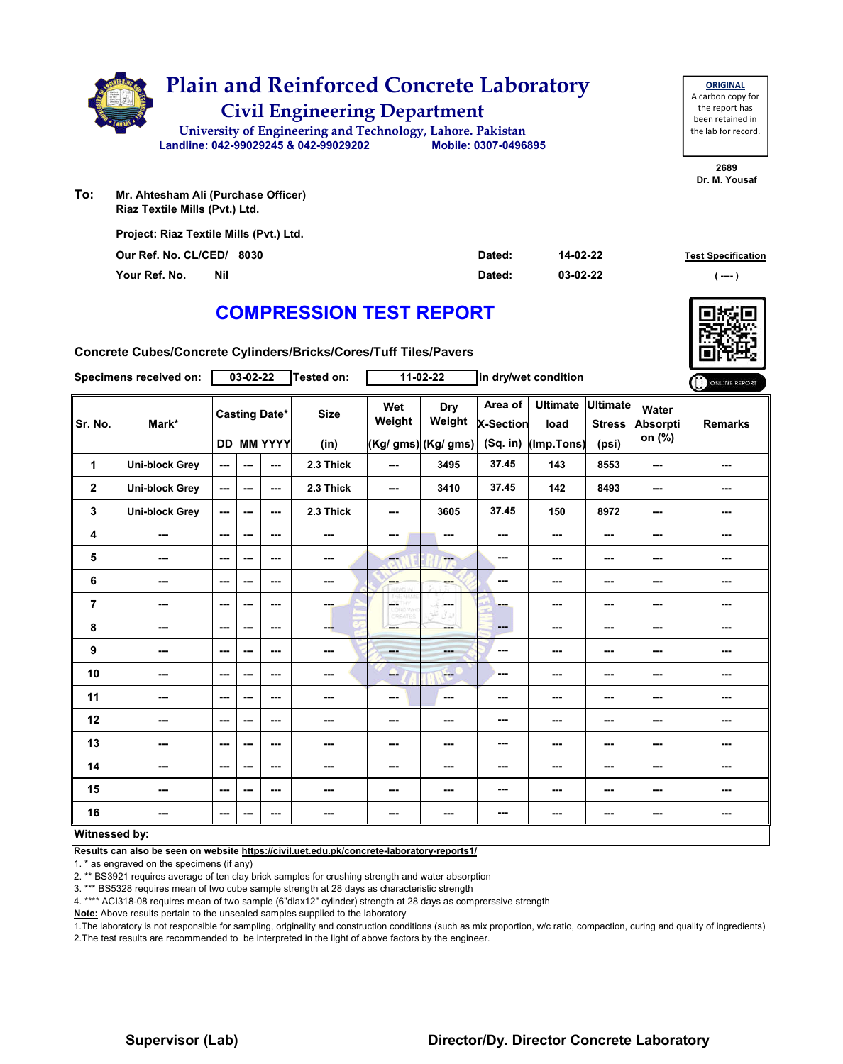

| <b>ORIGINAL</b>     |
|---------------------|
| A carbon copy for   |
| the report has      |
| been retained in    |
| the lab for record. |
|                     |

**2689 Dr. M. Yousaf**

**Test Specification** 

**To: Mr. Ahtesham Ali (Purchase Officer) Riaz Textile Mills (Pvt.) Ltd.**

| Project: Riaz Textile Mills (Pvt.) Ltd. |        |          |                      |
|-----------------------------------------|--------|----------|----------------------|
| Our Ref. No. CL/CED/ 8030               | Dated: | 14-02-22 | <b>Test Specific</b> |
| Your Ref. No.<br>Nil                    | Dated: | 03-02-22 | $---$                |

## **COMPRESSION TEST REPORT**

**Concrete Cubes/Concrete Cylinders/Bricks/Cores/Tuff Tiles/Pavers**

| Specimens received on:  |                          | 03-02-22               |                          |                                    | Tested on:               | $11-02-22$    |                                             | in dry/wet condition                      |                                       |                                           |                             | ONLINE REPORT  |
|-------------------------|--------------------------|------------------------|--------------------------|------------------------------------|--------------------------|---------------|---------------------------------------------|-------------------------------------------|---------------------------------------|-------------------------------------------|-----------------------------|----------------|
| Sr. No.                 | Mark*                    |                        |                          | <b>Casting Date*</b><br>DD MM YYYY | <b>Size</b><br>(in)      | Wet<br>Weight | <b>Dry</b><br>Weight<br>(Kg/ gms) (Kg/ gms) | Area of<br><b>X-Section</b><br>$(Sq.$ in) | <b>Ultimate</b><br>load<br>(Imp.Tons) | <b>Ultimate</b><br><b>Stress</b><br>(psi) | Water<br>Absorpti<br>on (%) | <b>Remarks</b> |
| $\mathbf{1}$            | <b>Uni-block Grey</b>    | $\sim$ $\sim$          | $-$                      | $- - -$                            | 2.3 Thick                | ---           | 3495                                        | 37.45                                     | 143                                   | 8553                                      | $-$                         | ---            |
| $\overline{\mathbf{2}}$ | <b>Uni-block Grey</b>    | $\sim$ $\sim$          | $\sim$ $\sim$            | $\sim$ $\sim$                      | 2.3 Thick                | ---           | 3410                                        | 37.45                                     | 142                                   | 8493                                      | ---                         | ---            |
| 3                       | <b>Uni-block Grey</b>    | $\sim$                 | $\sim$                   | $\sim$ $\sim$                      | 2.3 Thick                | ---           | 3605                                        | 37.45                                     | 150                                   | 8972                                      | $\sim$                      | ---            |
| 4                       | $\overline{\phantom{a}}$ | $\sim$                 | ---                      | $\overline{\phantom{a}}$           | ---                      | ---           | ---                                         | ---                                       | ---                                   | ---                                       | ---                         | ---            |
| 5                       | $\overline{\phantom{a}}$ | $\sim$ $\sim$          | ---                      | $\sim$ $\sim$                      | $\overline{\phantom{a}}$ | ---           | $-$                                         | $\overline{\phantom{a}}$                  | ---                                   | $\overline{\phantom{a}}$                  | ---                         | ---            |
| 6                       | ---                      | $\sim$ $\sim$          | $\overline{\phantom{a}}$ | $\overline{\phantom{a}}$           | ---                      | ---           | ---                                         | $\sim$                                    | ---                                   | ---                                       | ---                         | ---            |
| 7                       | $\overline{\phantom{a}}$ | $\sim$                 | $\overline{\phantom{a}}$ | $\overline{\phantom{a}}$           | $-1$                     | posts.        | ---                                         | <b>College</b>                            | ---                                   | ---                                       | ---                         | ---            |
| 8                       | ---                      | $\sim$ $\sim$          | ---                      | $\sim$ $\sim$                      | ---                      | ---           | ---                                         | $\qquad \qquad \cdots$                    | ---                                   | ---                                       | $\sim$                      | ---            |
| 9                       | ---                      | $\sim$ $\sim$          | ---                      | $\sim$ $\sim$                      | $\overline{\phantom{a}}$ | <b>House</b>  | ---                                         | $\overline{\phantom{a}}$                  | ---                                   | ---                                       | ---                         | ---            |
| 10                      | $\overline{\phantom{a}}$ | $\sim$ $\sim$          | $\overline{\phantom{a}}$ | $\overline{\phantom{a}}$           | $\overline{\phantom{a}}$ | --            | $-$                                         | ---                                       | ---                                   | $\overline{\phantom{a}}$                  | ---                         | ---            |
| 11                      | $\cdots$                 | $\sim$ $\sim$          | ---                      | ---                                | ---                      | ---           | $\sim$                                      | ---                                       | ---                                   | ---                                       | ---                         | ---            |
| 12                      | ---                      | $- - -$                | ---                      | ---                                | ---                      | ---           | ---                                         | $\overline{\phantom{a}}$                  | ---                                   | ---                                       | $\sim$ $\sim$               | ---            |
| 13                      | $\overline{\phantom{a}}$ | $\sim$ $\sim$          | ---                      | ---                                | ---                      | ---           | $\sim$ $\sim$                               | $\overline{\phantom{a}}$                  | ---                                   | ---                                       | $\sim$                      | ---            |
| 14                      | $\overline{\phantom{a}}$ | $\sim$ $\sim$          | $\overline{\phantom{a}}$ | $\sim$ $\sim$                      | ---                      | ---           | ---                                         | ---                                       | ---                                   | ---                                       | ---                         | ---            |
| 15                      | ---                      | $\qquad \qquad \cdots$ | ---                      | $--$                               | ---                      | ---           | ---                                         | $\overline{\phantom{a}}$                  | ---                                   | ---                                       | ---                         | ---            |
| 16                      | $-$                      | $\sim$ $\sim$          | ---                      | ---                                | ---                      | ---           | $\sim$                                      | ---                                       | ---                                   | ---                                       | $\sim$                      | ---            |
| Witnessed by:           |                          |                        |                          |                                    |                          |               |                                             |                                           |                                       |                                           |                             |                |

**Results can also be seen on website https://civil.uet.edu.pk/concrete-laboratory-reports1/**

1. \* as engraved on the specimens (if any)

2. \*\* BS3921 requires average of ten clay brick samples for crushing strength and water absorption

3. \*\*\* BS5328 requires mean of two cube sample strength at 28 days as characteristic strength

4. \*\*\*\* ACI318-08 requires mean of two sample (6"diax12" cylinder) strength at 28 days as comprerssive strength

**Note:** Above results pertain to the unsealed samples supplied to the laboratory

1.The laboratory is not responsible for sampling, originality and construction conditions (such as mix proportion, w/c ratio, compaction, curing and quality of ingredients) 2.The test results are recommended to be interpreted in the light of above factors by the engineer.

### **Supervisor (Lab) Director/Dy. Director Concrete Laboratory**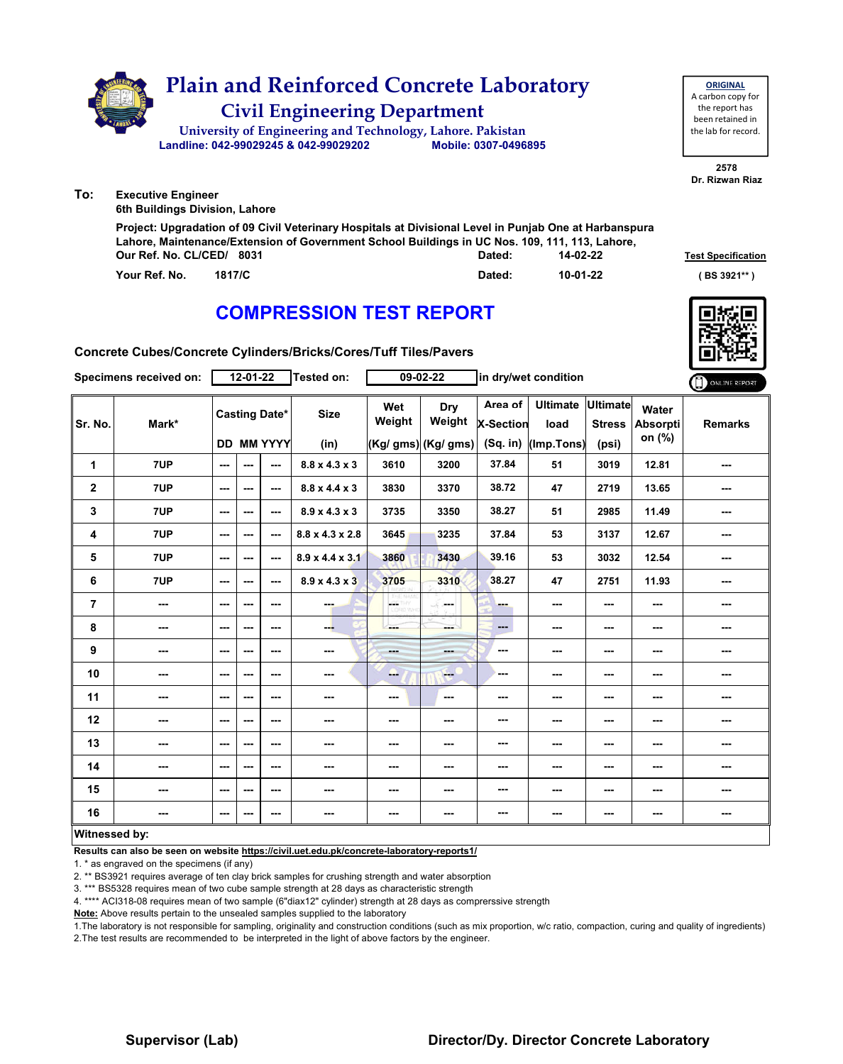

**Your Ref. No. 1817/C Dated: ( BS 3921\*\* )**

### **COMPRESSION TEST REPORT**

**Concrete Cubes/Concrete Cylinders/Bricks/Cores/Tuff Tiles/Pavers**

| Specimens received on: |          |                          | $12 - 01 - 22$ |                                           | Tested on:                  | $09 - 02 - 22$ |                                      | in dry/wet condition                      |                                       |                                    |                                    | ONLINE REPORT  |
|------------------------|----------|--------------------------|----------------|-------------------------------------------|-----------------------------|----------------|--------------------------------------|-------------------------------------------|---------------------------------------|------------------------------------|------------------------------------|----------------|
| Sr. No.                | Mark*    |                          |                | <b>Casting Date*</b><br><b>DD MM YYYY</b> | <b>Size</b><br>(in)         | Wet<br>Weight  | Dry<br>Weight<br>(Kg/ gms) (Kg/ gms) | Area of<br><b>X-Section</b><br>$(Sq.$ in) | <b>Ultimate</b><br>load<br>(Imp.Tons) | Ultimate<br><b>Stress</b><br>(psi) | Water<br><b>Absorpti</b><br>on (%) | <b>Remarks</b> |
| 1                      | 7UP      | ---                      | ---            | $\overline{a}$                            | $8.8 \times 4.3 \times 3$   | 3610           | 3200                                 | 37.84                                     | 51                                    | 3019                               | 12.81                              | ---            |
| $\mathbf{2}$           | 7UP      | $\cdots$                 | ---            | $\sim$ $\sim$                             | $8.8 \times 4.4 \times 3$   | 3830           | 3370                                 | 38.72                                     | 47                                    | 2719                               | 13.65                              | ---            |
| 3                      | 7UP      | $\sim$                   | ---            | $\sim$ $\sim$                             | $8.9 \times 4.3 \times 3$   | 3735           | 3350                                 | 38.27                                     | 51                                    | 2985                               | 11.49                              | ---            |
| 4                      | 7UP      | $--$                     | ---            | $\sim$ $\sim$                             | $8.8 \times 4.3 \times 2.8$ | 3645           | 3235                                 | 37.84                                     | 53                                    | 3137                               | 12.67                              | ---            |
| 5                      | 7UP      | $\overline{\phantom{a}}$ | $--$           | $\sim$ $\sim$                             | $8.9 \times 4.4 \times 3.1$ | 3860           | 3430                                 | 39.16                                     | 53                                    | 3032                               | 12.54                              | ---            |
| 6                      | 7UP      | $--$                     | ---            | $\sim$ $\sim$                             | $8.9 \times 4.3 \times 3$   | 3705           | 3310                                 | 38.27                                     | 47                                    | 2751                               | 11.93                              | ---            |
| $\overline{7}$         | ---      | $\overline{\phantom{a}}$ | ---            | $\sim$ $\sim$                             | man.                        | <b>GETHY</b>   | ---                                  | <b>Barnet</b>                             | ---                                   | ---                                | ---                                | ---            |
| 8                      | ---      | $\sim$                   | ---            | $\sim$ $\sim$                             | --                          | ---            | ---                                  | $\overline{\phantom{a}}$                  | ---                                   | ---                                | ---                                | ---            |
| 9                      | ---      | $--$                     | ---            | $\overline{\phantom{a}}$                  | $\sim$                      | ---            | ---                                  | ---                                       | ---                                   | ---                                | ---                                | ---            |
| 10                     | ---      | $--$                     | ---            | ---                                       | ---                         | щ.             | <b>Company</b>                       | ---                                       | ---                                   | ---                                | ---                                | ---            |
| 11                     | ---      | $-$                      | ---            | $\sim$ $\sim$                             | $\sim$ $\sim$               | ---            | ---                                  | ---                                       | ---                                   | $\overline{\phantom{a}}$           | ---                                | ---            |
| 12                     | $\cdots$ | ---                      | ---            | $\overline{\phantom{a}}$                  | $\sim$                      | ---            | ---                                  | ---                                       | ---                                   | ---                                | ---                                | ---            |
| 13                     | ---      | ---                      | ---            | ---                                       | ---                         | ---            | ---                                  | ---                                       | ---                                   | ---                                |                                    | ---            |
| 14                     | ---      | $\overline{\phantom{a}}$ | ---            | $\sim$ $\sim$                             | $\sim$                      | ---            | $\sim$                               | ---                                       | ---                                   | $\overline{\phantom{a}}$           | ---                                | ---            |
| 15                     | ---      | ---                      | ---            | $\sim$ $\sim$                             | $\sim$                      | ---            | ---                                  | ---                                       | ---                                   | ---                                | ---                                | ---            |
| 16                     | ---      | ---                      | ---            | ---                                       | ---                         | ---            | ---                                  | ---                                       | ---                                   | ---                                | ---                                | ---            |
| Witnessed by:          |          |                          |                |                                           |                             |                |                                      |                                           |                                       |                                    |                                    |                |

#### **Witnessed by:**

**Results can also be seen on website https://civil.uet.edu.pk/concrete-laboratory-reports1/**

1. \* as engraved on the specimens (if any)

2. \*\* BS3921 requires average of ten clay brick samples for crushing strength and water absorption

3. \*\*\* BS5328 requires mean of two cube sample strength at 28 days as characteristic strength

4. \*\*\*\* ACI318-08 requires mean of two sample (6"diax12" cylinder) strength at 28 days as comprerssive strength

**Note:** Above results pertain to the unsealed samples supplied to the laboratory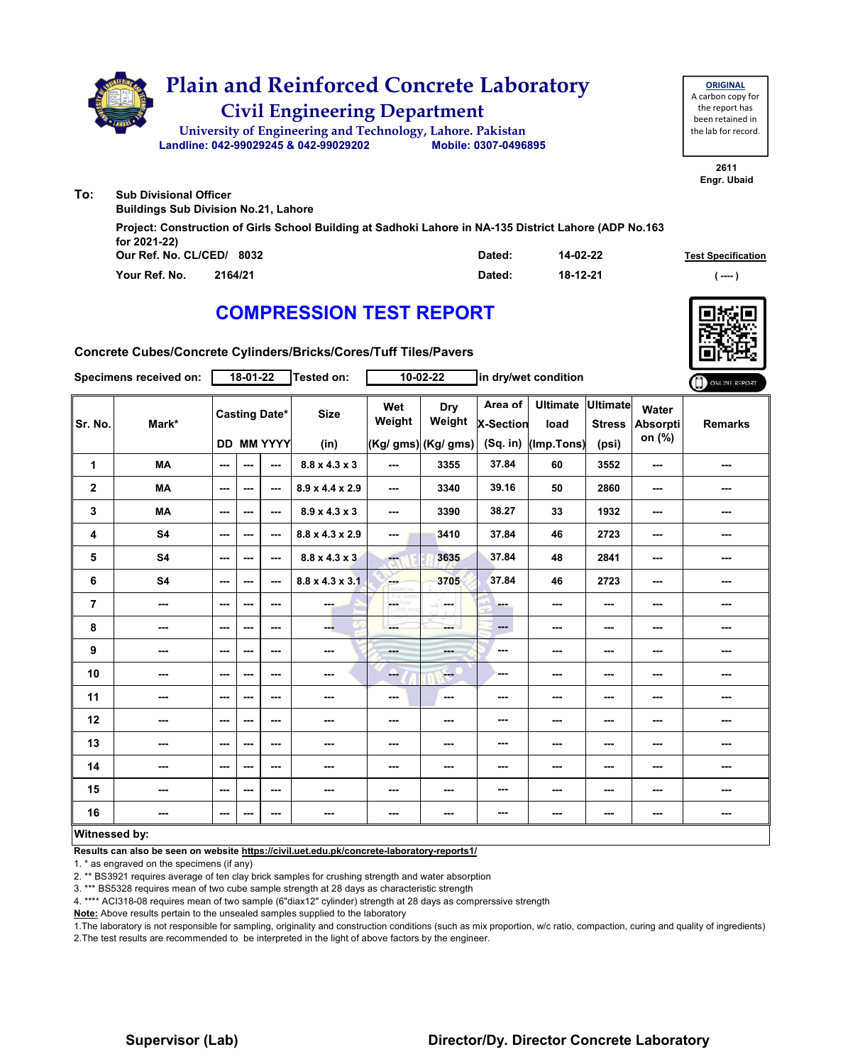

**Our Ref. No. CL/CED/ Dated: Test Specification 8032 Your Ref. No. 2164/21 Dated: ( ---- ) 14-02-22 18-12-21 Project: Construction of Girls School Building at Sadhoki Lahore in NA-135 District Lahore (ADP No.163 for 2021-22)**

## **COMPRESSION TEST REPORT**

**Concrete Cubes/Concrete Cylinders/Bricks/Cores/Tuff Tiles/Pavers**

| Specimens received on: |           |               | 18-01-22 |                                           | <b>Tested on:</b>           |                          | 10-02-22                             | in dry/wet condition                    |                                       |                                           |                             | ONLINE REPORT  |
|------------------------|-----------|---------------|----------|-------------------------------------------|-----------------------------|--------------------------|--------------------------------------|-----------------------------------------|---------------------------------------|-------------------------------------------|-----------------------------|----------------|
| Sr. No.                | Mark*     |               |          | <b>Casting Date*</b><br><b>DD MM YYYY</b> | <b>Size</b><br>(in)         | Wet<br>Weight            | Dry<br>Weight<br>(Kg/ gms) (Kg/ gms) | Area of<br><b>X-Section</b><br>(Sq. in) | <b>Ultimate</b><br>load<br>(Imp.Tons) | <b>Ultimate</b><br><b>Stress</b><br>(psi) | Water<br>Absorpti<br>on (%) | <b>Remarks</b> |
| 1                      | <b>MA</b> | ---           | ---      | $\sim$ $\sim$                             | $8.8 \times 4.3 \times 3$   | $\overline{\phantom{a}}$ | 3355                                 | 37.84                                   | 60                                    | 3552                                      | ---                         | ---            |
| $\mathbf 2$            | <b>MA</b> | ---           | ---      | $--$                                      | $8.9 \times 4.4 \times 2.9$ | $\overline{\phantom{a}}$ | 3340                                 | 39.16                                   | 50                                    | 2860                                      | ---                         | ---            |
| 3                      | <b>MA</b> | $- - -$       | ---      | $\overline{a}$                            | $8.9 \times 4.3 \times 3$   | ---                      | 3390                                 | 38.27                                   | 33                                    | 1932                                      | ---                         | ---            |
| 4                      | <b>S4</b> | ---           | ---      | ---                                       | 8.8 x 4.3 x 2.9             | ---                      | 3410                                 | 37.84                                   | 46                                    | 2723                                      | ---                         | ---            |
| 5                      | <b>S4</b> | $\sim$ $\sim$ | ---      | ---                                       | $8.8 \times 4.3 \times 3$   | m.                       | 3635                                 | 37.84                                   | 48                                    | 2841                                      | ---                         | ---            |
| 6                      | <b>S4</b> | ---           | ---      | $- - -$                                   | $8.8 \times 4.3 \times 3.1$ | <b>Albert</b>            | 3705                                 | 37.84                                   | 46                                    | 2723                                      | ---                         | ---            |
| $\overline{7}$         | ---       | $--$          | ---      | ---                                       | ena.                        | CETHY<br>LORD WH         | in mar                               | ---                                     | ---                                   | ---                                       | ---                         | ---            |
| 8                      | ---       | $\sim$ $\sim$ | ---      | $--$                                      | --                          | ---                      | ---                                  | ---                                     | ---                                   | ---                                       | ---                         | ---            |
| 9                      | ---       | ---           | ---      | $--$                                      | $\cdots$                    | ---                      | ---                                  | ---                                     | ---                                   | ---                                       | ---                         | ---            |
| 10                     | ---       | $--$          | ---      | ---                                       | ---                         | --                       | <b>Free</b>                          | ---                                     | ---                                   | ---                                       | ---                         | ---            |
| 11                     | ---       | $--$          | ---      | ---                                       | ---                         | ---                      | $\sim$                               | ---                                     | ---                                   | ---                                       | ---                         | ---            |
| 12                     | ---       | ---           | ---      | $--$                                      | ---                         | ---                      | ---                                  | ---                                     | ---                                   | ---                                       | ---                         | ---            |
| 13                     | ---       | ---           | ---      | ---                                       | ---                         | ---                      | ---                                  | ---                                     | ---                                   | ---                                       | ---                         |                |
| 14                     | ---       | ---           | ---      | $- - -$                                   | ---                         | ---                      | ---                                  | ---                                     | ---                                   | ---                                       | ---                         | ---            |
| 15                     | ---       | ---           | ---      | $--$                                      | $\sim$                      | ---                      | ---                                  | ---                                     | ---                                   | ---                                       | ---                         | ---            |
| 16                     | ---       | ---           | ---      | ---                                       | ---                         | ---                      | ---                                  | ---                                     | ---                                   | ---                                       | ---                         | ---            |
| Witnessed hy           |           |               |          |                                           |                             |                          |                                      |                                         |                                       |                                           |                             |                |

### **Witnessed by:**

**Results can also be seen on website https://civil.uet.edu.pk/concrete-laboratory-reports1/**

1. \* as engraved on the specimens (if any)

2. \*\* BS3921 requires average of ten clay brick samples for crushing strength and water absorption

3. \*\*\* BS5328 requires mean of two cube sample strength at 28 days as characteristic strength

4. \*\*\*\* ACI318-08 requires mean of two sample (6"diax12" cylinder) strength at 28 days as comprerssive strength

**Note:** Above results pertain to the unsealed samples supplied to the laboratory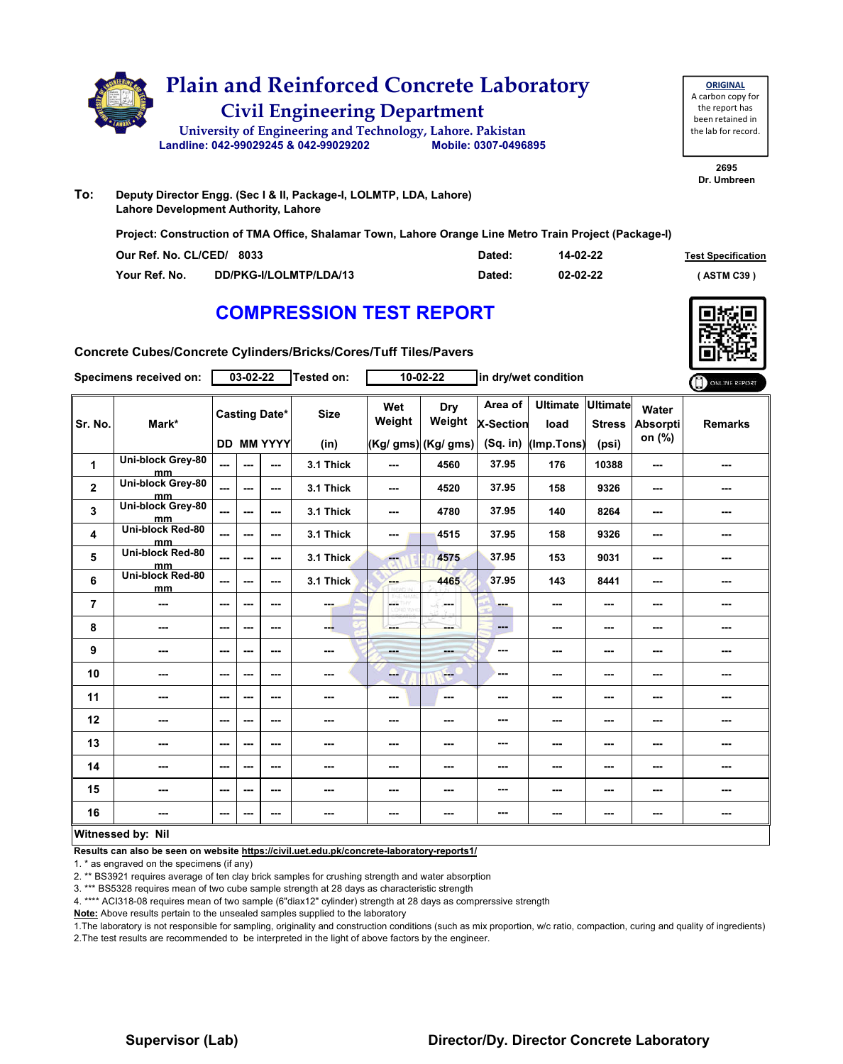

| <b>ORIGINAL</b>     |  |  |  |  |  |  |  |
|---------------------|--|--|--|--|--|--|--|
| A carbon copy for   |  |  |  |  |  |  |  |
| the report has      |  |  |  |  |  |  |  |
| been retained in    |  |  |  |  |  |  |  |
| the lab for record. |  |  |  |  |  |  |  |

**2695 Dr. Umbreen**

**To: Deputy Director Engg. (Sec I & II, Package-I, LOLMTP, LDA, Lahore) Lahore Development Authority, Lahore**

**Project: Construction of TMA Office, Shalamar Town, Lahore Orange Line Metro Train Project (Package-I)**

| Our Ref. No. CL/CED/ 8033 |                        | Dated: | 14-02-22 | <b>Test Specification</b> |
|---------------------------|------------------------|--------|----------|---------------------------|
| Your Ref. No.             | DD/PKG-I/LOLMTP/LDA/13 | Dated: | 02-02-22 | <b>ASTM C39</b> 1         |

### **COMPRESSION TEST REPORT**



**Concrete Cubes/Concrete Cylinders/Bricks/Cores/Tuff Tiles/Pavers**

|                         | <b>Specimens received on:</b> |      | 03-02-22                 |                   | Tested on:  |                          | 10-02-22             |                      | in dry/wet condition      |               |                          | ONLINE REPORT  |
|-------------------------|-------------------------------|------|--------------------------|-------------------|-------------|--------------------------|----------------------|----------------------|---------------------------|---------------|--------------------------|----------------|
| Sr. No.                 | Mark*                         |      | <b>Casting Date*</b>     |                   | <b>Size</b> | Wet<br>Weight            | Dry<br>Weight        | Area of<br>X-Section | Ultimate Ultimate<br>load | <b>Stress</b> | Water<br><b>Absorpti</b> | <b>Remarks</b> |
|                         |                               |      |                          | <b>DD MM YYYY</b> | (in)        |                          | $(Kg/gms)$ (Kg/ gms) | (Sq. in)             | (Imp.Tons)                | (psi)         | on (%)                   |                |
| 1                       | Uni-block Grey-80<br>mm       | ---  | $\overline{\phantom{a}}$ | ---               | 3.1 Thick   | $\overline{\phantom{a}}$ | 4560                 | 37.95                | 176                       | 10388         | $\sim$                   |                |
| $\overline{\mathbf{2}}$ | Uni-block Grey-80<br>mm.      | ---  | $\sim$ $\sim$            | ---               | 3.1 Thick   | $--$                     | 4520                 | 37.95                | 158                       | 9326          | $\sim$                   | ---            |
| 3                       | Uni-block Grey-80<br>mm       | ---  | $- - -$                  | ---               | 3.1 Thick   | ---                      | 4780                 | 37.95                | 140                       | 8264          | $\sim$                   | ---            |
| 4                       | Uni-block Red-80<br>mm        | ---  | $\sim$ $\sim$            | $- - -$           | 3.1 Thick   | $\overline{\phantom{a}}$ | 4515                 | 37.95                | 158                       | 9326          | $- - -$                  | ---            |
| 5                       | Uni-block Red-80<br>mm        | ---  | ---                      | $- - -$           | 3.1 Thick   | ---                      | 4575                 | 37.95                | 153                       | 9031          | $\sim$                   | ---            |
| 6                       | Uni-block Red-80<br>mm        | ---  | $- - -$                  | $- - -$           | 3.1 Thick   | --                       | 4465                 | 37.95                | 143                       | 8441          | $\sim$ $\sim$            | ---            |
| $\overline{7}$          | ---                           | ---  | $\sim$ $\sim$            | $--$              | ---         | HS.<br>W                 | ---                  | ---                  | ---                       | ---           | $\sim$                   | ---            |
| 8                       | ---                           | ---  | $\sim$ $\sim$            | $--$              | --          | ---                      | ---                  | ---                  | ---                       | $\sim$ $\sim$ | ---                      | ---            |
| 9                       | ---                           | ---  | $\overline{\phantom{a}}$ | $--$              | ---         | ---                      | ---                  | ---                  | ---                       | ---           | ---                      | ---            |
| 10                      | ---                           | ---  | $\sim$ $\sim$            | $- - -$           | ---         | --                       | ---                  | ---                  | ---                       | ---           | ---                      | ---            |
| 11                      | ---                           | $--$ | $\sim$                   | ---               | ---         | ---                      | ---                  | ---                  | ---                       | ---           | ---                      | ---            |
| 12                      | ---                           | ---  | ---                      | ---               | ---         | ---                      | ---                  | ---                  | ---                       | ---           | ---                      | ---            |
| 13                      | ---                           | ---  | $\sim$ $\sim$            | $--$              | ---         | ---                      | ---                  | ---                  | ---                       | ---           | ---                      | ---            |
| 14                      | ---                           | ---  | $\sim$ $\sim$            | $--$              | ---         | ---                      | ---                  | ---                  | ---                       | ---           | ---                      | ---            |
| 15                      | ---                           | $--$ | ---                      | $--$              | ---         | $\sim$                   | ---                  | ---                  | ---                       | ---           | ---                      | ---            |
| 16                      | ---                           | ---  | ---                      | ---               | ---         | ---                      | ---                  | ---                  | ---                       | $\sim$ $\sim$ | $\sim$ $\sim$            | ---            |
|                         | Witnessed by: Nil             |      |                          |                   |             |                          |                      |                      |                           |               |                          |                |

### **Witnessed by: Nil**

**Results can also be seen on website https://civil.uet.edu.pk/concrete-laboratory-reports1/**

1. \* as engraved on the specimens (if any)

2. \*\* BS3921 requires average of ten clay brick samples for crushing strength and water absorption

3. \*\*\* BS5328 requires mean of two cube sample strength at 28 days as characteristic strength

4. \*\*\*\* ACI318-08 requires mean of two sample (6"diax12" cylinder) strength at 28 days as comprerssive strength

**Note:** Above results pertain to the unsealed samples supplied to the laboratory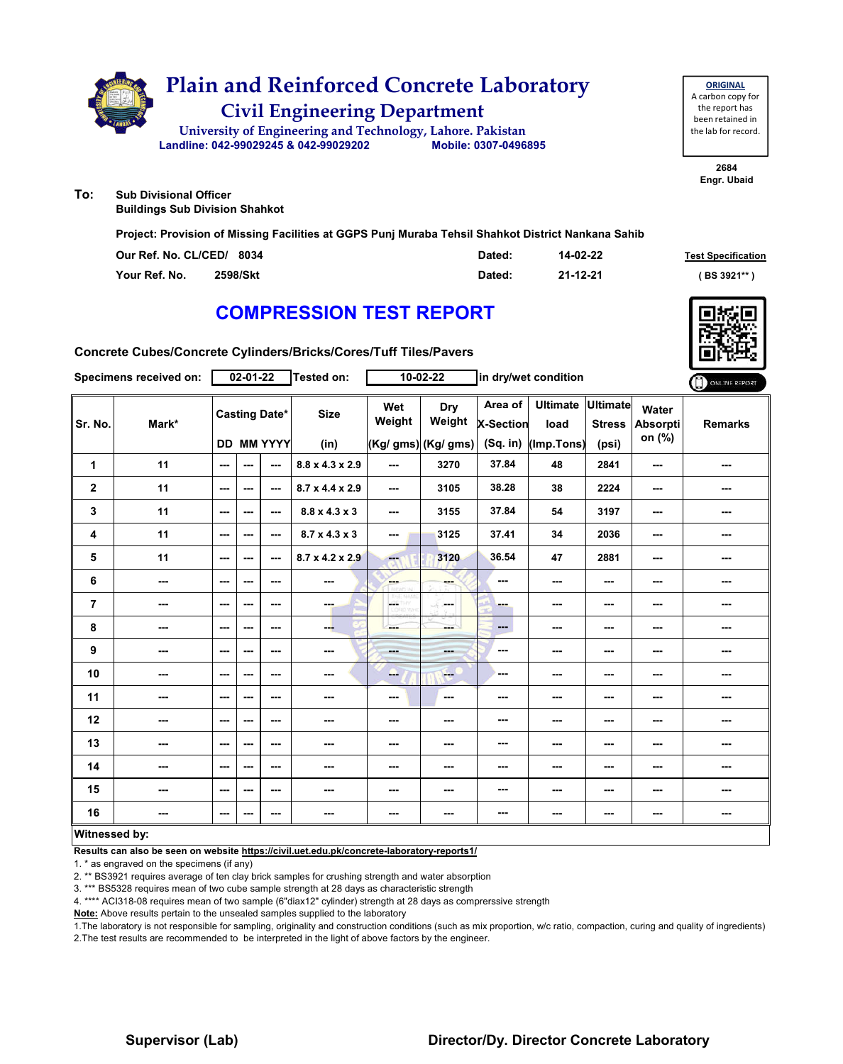

**ORIGINAL** A carbon copy for the report has been retained in the lab for record.

> **2684 Engr. Ubaid**

**To: Sub Divisional Officer**

**Buildings Sub Division Shahkot**

**Project: Provision of Missing Facilities at GGPS Punj Muraba Tehsil Shahkot District Nankana Sahib**

| Our Ref. No. CL/CED/ 8034 |          | Dated: | 14-02-22 | <b>Test Specification</b> |
|---------------------------|----------|--------|----------|---------------------------|
| Your Ref. No.             | 2598/Skt | Dated: | 21-12-21 | BS 3921**                 |

## **COMPRESSION TEST REPORT**

**Concrete Cubes/Concrete Cylinders/Bricks/Cores/Tuff Tiles/Pavers**

|                      | Specimens received on: |                          | $02 - 01 - 22$ |                                           | <b>Tested on:</b>           |               | $10 - 02 - 22$       |                                    | in dry/wet condition                  |                                  |                                    | ONLINE REPORT  |
|----------------------|------------------------|--------------------------|----------------|-------------------------------------------|-----------------------------|---------------|----------------------|------------------------------------|---------------------------------------|----------------------------------|------------------------------------|----------------|
| Sr. No.              | Mark*                  |                          |                | <b>Casting Date*</b><br><b>DD MM YYYY</b> | <b>Size</b>                 | Wet<br>Weight | <b>Dry</b><br>Weight | Area of<br>X-Section<br>$(Sq.$ in) | <b>Ultimate</b><br>load<br>(Imp.Tons) | <b>Ultimate</b><br><b>Stress</b> | Water<br><b>Absorpti</b><br>on (%) | <b>Remarks</b> |
|                      |                        |                          |                |                                           | (in)                        |               | (Kg/ gms) (Kg/ gms)  |                                    |                                       | (psi)                            |                                    |                |
| $\mathbf{1}$         | 11                     | ---                      | ---            | ---                                       | $8.8 \times 4.3 \times 2.9$ | ---           | 3270                 | 37.84                              | 48                                    | 2841                             | ---                                | ---            |
| $\mathbf 2$          | 11                     | $\overline{\phantom{a}}$ | ---            | ---                                       | 8.7 x 4.4 x 2.9             | ---           | 3105                 | 38.28                              | 38                                    | 2224                             | ---                                | ---            |
| 3                    | 11                     | $\sim$ $\sim$            | ---            | $\sim$                                    | $8.8 \times 4.3 \times 3$   | ---           | 3155                 | 37.84                              | 54                                    | 3197                             | ---                                | ---            |
| 4                    | 11                     | ---                      | ---            | ---                                       | $8.7 \times 4.3 \times 3$   | ---           | 3125                 | 37.41                              | 34                                    | 2036                             | ---                                | ---            |
| 5                    | 11                     | ---                      | ---            | ---                                       | $8.7 \times 4.2 \times 2.9$ | ment of       | 3120                 | 36.54                              | 47                                    | 2881                             | ---                                | ---            |
| 6                    | ---                    | ---                      | ---            | ---                                       | ---                         | en e          |                      | ---                                | ---                                   | ---                              | ---                                | ---            |
| $\overline{7}$       | ---                    | $- - -$                  | ---            | ---                                       | <b>COLL</b>                 | LGC.          | SS.<br>and a         | ---                                | $--$                                  | $\sim$ $\sim$                    | ---                                | ---            |
| 8                    | ---                    | ---                      | ---            | ---                                       | --                          | ---           | ---                  | ---                                | ---                                   | $--$                             | ---                                | ---            |
| $\boldsymbol{9}$     | ---                    | $\sim$ $\sim$            | ---            | ---                                       | $\sim$                      | $- - -$       | <b>SHOP</b>          | ---                                | ---                                   | $--$                             | ---                                | ---            |
| 10                   | ---                    | ---                      | ---            | ---                                       | ---                         | --            | $-1$                 | ---                                | ---                                   | $--$                             | ---                                | ---            |
| 11                   | ---                    | ---                      | ---            | ---                                       | ---                         | ---           | $\cdots$             | ---                                | ---                                   | $--$                             | ---                                | ---            |
| 12                   | ---                    | ---                      | ---            | ---                                       | ---                         | ---           | ---                  | ---                                | ---                                   | ---                              | ---                                | ---            |
| 13                   | ---                    | ---                      | ---            | ---                                       | ---                         | ---           |                      | ---                                | ---                                   | ---                              | ---                                | ---            |
| 14                   | ---                    | ---                      | ---            | ---                                       | ---                         | ---           | ---                  | ---                                | ---                                   | $--$                             | ---                                | ---            |
| 15                   | ---                    | $\overline{\phantom{a}}$ | ---            | $\overline{\phantom{a}}$                  | $\sim$                      | ---           | ---                  | ---                                | ---                                   | ---                              | ---                                | ---            |
| 16                   | ---                    | $\overline{\phantom{a}}$ | ---            | ---                                       | $\sim$                      | ---           | ---                  | ---                                | ---                                   | ---                              | ---                                | ---            |
| <b>Witnessed by:</b> |                        |                          |                |                                           |                             |               |                      |                                    |                                       |                                  |                                    |                |

### **Witnessed by:**

**Results can also be seen on website https://civil.uet.edu.pk/concrete-laboratory-reports1/**

1. \* as engraved on the specimens (if any)

2. \*\* BS3921 requires average of ten clay brick samples for crushing strength and water absorption

3. \*\*\* BS5328 requires mean of two cube sample strength at 28 days as characteristic strength

4. \*\*\*\* ACI318-08 requires mean of two sample (6"diax12" cylinder) strength at 28 days as comprerssive strength

**Note:** Above results pertain to the unsealed samples supplied to the laboratory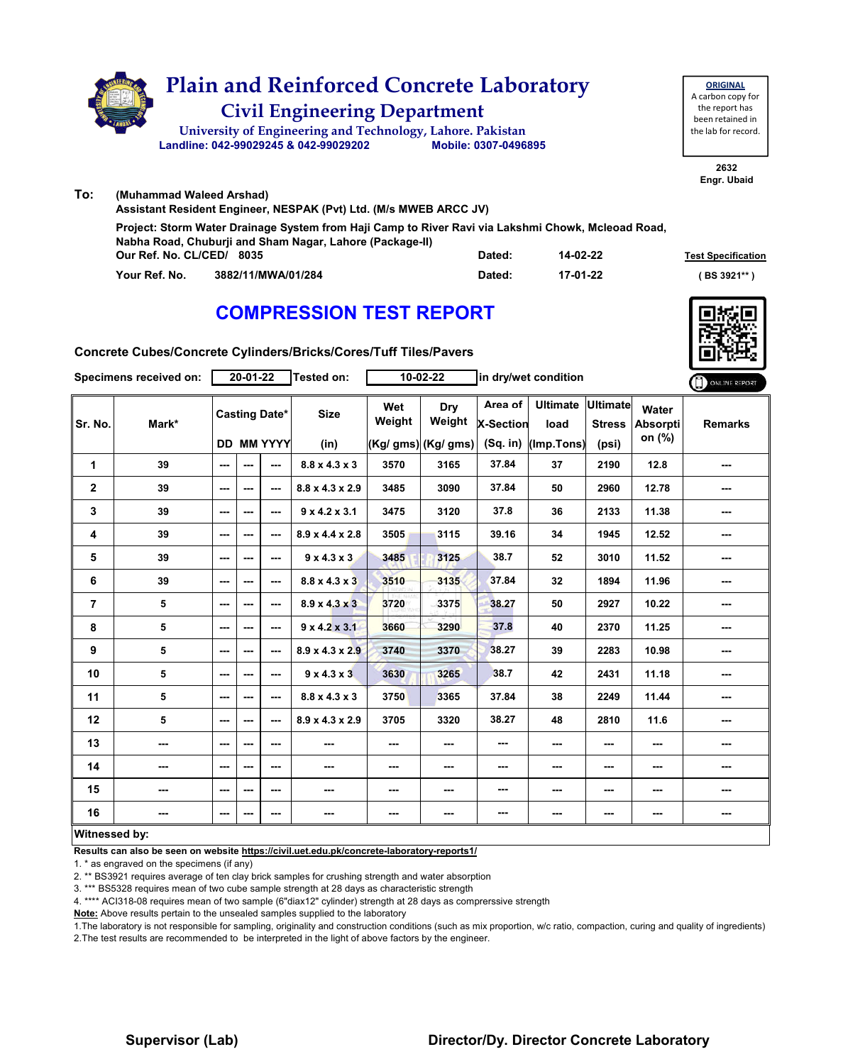

|               | Assistant Resident Engineer, NESPAK (Pvt) Ltd. (M/s MWEB ARCC JV)                                                                                              |        |          |                           |
|---------------|----------------------------------------------------------------------------------------------------------------------------------------------------------------|--------|----------|---------------------------|
|               | Project: Storm Water Drainage System from Haji Camp to River Ravi via Lakshmi Chowk, Mcleoad Road,<br>Nabha Road, Chuburji and Sham Nagar, Lahore (Package-II) |        |          |                           |
|               | Our Ref. No. CL/CED/ 8035                                                                                                                                      | Dated: | 14-02-22 | <b>Test Specification</b> |
| Your Ref. No. | 3882/11/MWA/01/284                                                                                                                                             | Dated: | 17-01-22 | (BS 3921**)               |

## **COMPRESSION TEST REPORT**



**Concrete Cubes/Concrete Cylinders/Bricks/Cores/Tuff Tiles/Pavers**

|                | Specimens received on:   |          | 20-01-22 |                                           | Tested on:                  |               | 10-02-22                              | in dry/wet condition                      |                                         | ONLINE REPORT          |                                    |                |
|----------------|--------------------------|----------|----------|-------------------------------------------|-----------------------------|---------------|---------------------------------------|-------------------------------------------|-----------------------------------------|------------------------|------------------------------------|----------------|
| Sr. No.        | Mark*                    |          |          | <b>Casting Date*</b><br><b>DD MM YYYY</b> | <b>Size</b><br>(in)         | Wet<br>Weight | Dry<br>Weight<br>$(Kg/gms)$ (Kg/ gms) | Area of<br><b>X-Section</b><br>$(Sq.$ in) | Ultimate Ultimate<br>load<br>(Imp.Tons) | <b>Stress</b><br>(psi) | Water<br><b>Absorpti</b><br>on (%) | <b>Remarks</b> |
| $\mathbf{1}$   | 39                       | $- - -$  | ---      | ---                                       | $8.8 \times 4.3 \times 3$   | 3570          | 3165                                  | 37.84                                     | 37                                      | 2190                   | 12.8                               | ---            |
| $\overline{2}$ | 39                       | ---      | ---      | ---                                       | $8.8 \times 4.3 \times 2.9$ | 3485          | 3090                                  | 37.84                                     | 50                                      | 2960                   | 12.78                              | ---            |
| 3              | 39                       | $--$     | ---      | ---                                       | $9 \times 4.2 \times 3.1$   | 3475          | 3120                                  | 37.8                                      | 36                                      | 2133                   | 11.38                              | ---            |
| 4              | 39                       | ---      | ---      | ---                                       | $8.9 \times 4.4 \times 2.8$ | 3505          | 3115                                  | 39.16                                     | 34                                      | 1945                   | 12.52                              | ---            |
| 5              | 39                       | $--$     | ---      | ---                                       | $9 \times 4.3 \times 3$     | 3485          | 3125                                  | 38.7                                      | 52                                      | 3010                   | 11.52                              |                |
| 6              | 39                       | ---      | ---      | ---                                       | $8.8 \times 4.3 \times 3$   | 3510          | 3135                                  | 37.84                                     | 32                                      | 1894                   | 11.96                              |                |
| $\overline{7}$ | 5                        | $--$     | ---      | $--$                                      | $8.9 \times 4.3 \times 3$   | 3720          | 3375                                  | 38.27                                     | 50                                      | 2927                   | 10.22                              | ---            |
| 8              | 5                        | $--$     | ---      | ---                                       | $9 \times 4.2 \times 3.1$   | 3660          | 3290                                  | 37.8                                      | 40                                      | 2370                   | 11.25                              | ---            |
| 9              | 5                        | $\cdots$ | ---      | $--$                                      | $8.9 \times 4.3 \times 2.9$ | 3740          | 3370                                  | 38.27                                     | 39                                      | 2283                   | 10.98                              | ---            |
| 10             | 5                        | $\sim$   | ---      | ---                                       | 9x4.3x3                     | 3630          | 3265                                  | 38.7                                      | 42                                      | 2431                   | 11.18                              | ---            |
| 11             | 5                        | $--$     | ---      | ---                                       | $8.8 \times 4.3 \times 3$   | 3750          | 3365                                  | 37.84                                     | 38                                      | 2249                   | 11.44                              |                |
| 12             | 5                        | $--$     | ---      | $--$                                      | $8.9 \times 4.3 \times 2.9$ | 3705          | 3320                                  | 38.27                                     | 48                                      | 2810                   | 11.6                               | ---            |
| 13             | ---                      | ---      | ---      | $--$                                      | ---                         | ---           | ---                                   | ---                                       | ---                                     | ---                    | ---                                | ---            |
| 14             | ---                      | $--$     | ---      | ---                                       | ---                         | ---           | ---                                   | ---                                       | ---                                     | ---                    | ---                                | ---            |
| 15             | $\overline{\phantom{a}}$ | ---      | ---      | ---                                       | ---                         | ---           | ---                                   | ---                                       | ---                                     | ---                    | ---                                | ---            |
| 16             | $\overline{\phantom{a}}$ | ---      | ---      | ---                                       | ---                         | ---           | ---                                   | ---                                       | ---                                     | ---                    | ---                                | ---            |
| Witnessed by:  |                          |          |          |                                           |                             |               |                                       |                                           |                                         |                        |                                    |                |

**Results can also be seen on website https://civil.uet.edu.pk/concrete-laboratory-reports1/**

1. \* as engraved on the specimens (if any)

2. \*\* BS3921 requires average of ten clay brick samples for crushing strength and water absorption

3. \*\*\* BS5328 requires mean of two cube sample strength at 28 days as characteristic strength

4. \*\*\*\* ACI318-08 requires mean of two sample (6"diax12" cylinder) strength at 28 days as comprerssive strength

**Note:** Above results pertain to the unsealed samples supplied to the laboratory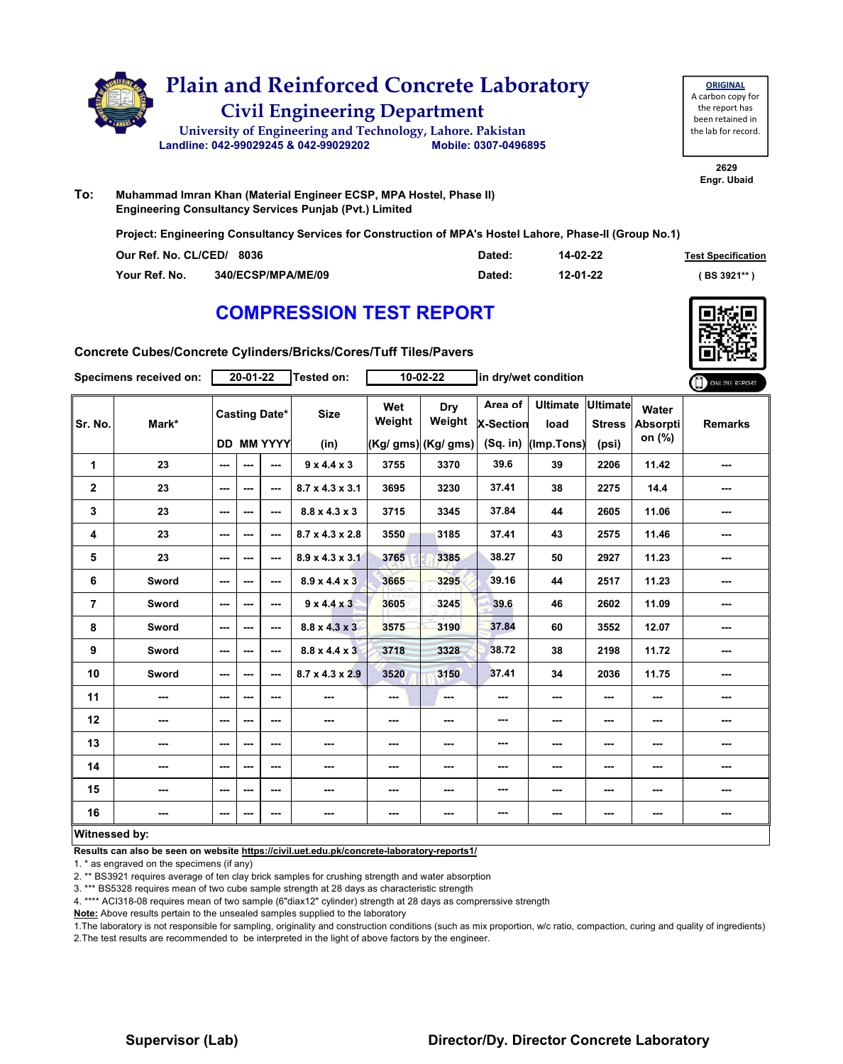

| <b>ORIGINAL</b>     |  |  |  |  |  |  |  |  |  |
|---------------------|--|--|--|--|--|--|--|--|--|
| A carbon copy for   |  |  |  |  |  |  |  |  |  |
| the report has      |  |  |  |  |  |  |  |  |  |
| been retained in    |  |  |  |  |  |  |  |  |  |
| the lab for record. |  |  |  |  |  |  |  |  |  |
|                     |  |  |  |  |  |  |  |  |  |

**2629 Engr. Ubaid**

**To: Muhammad Imran Khan (Material Engineer ECSP, MPA Hostel, Phase II) Engineering Consultancy Services Punjab (Pvt.) Limited**

**Project: Engineering Consultancy Services for Construction of MPA's Hostel Lahore, Phase-II (Group No.1)**

| Our Ref. No. CL/CED/ 8036 |                           | Dated: | 14-02-22 | <b>Test Specification</b> |
|---------------------------|---------------------------|--------|----------|---------------------------|
| Your Ref. No.             | <b>340/ECSP/MPA/ME/09</b> | Dated: | 12-01-22 | (BS 3921**)               |

### **COMPRESSION TEST REPORT**



**Concrete Cubes/Concrete Cylinders/Bricks/Cores/Tuff Tiles/Pavers**

|                | Specimens received on: |     | 20-01-22                 |                      | Tested on:                  |               | 10-02-22             | in dry/wet condition        |                         |                                  | ONLINE REPORT            |                |
|----------------|------------------------|-----|--------------------------|----------------------|-----------------------------|---------------|----------------------|-----------------------------|-------------------------|----------------------------------|--------------------------|----------------|
| Sr. No.        | Mark*                  |     |                          | <b>Casting Date*</b> | <b>Size</b>                 | Wet<br>Weight | Dry<br>Weight        | Area of<br><b>X-Section</b> | <b>Ultimate</b><br>load | <b>Ultimate</b><br><b>Stress</b> | Water<br><b>Absorpti</b> | <b>Remarks</b> |
|                |                        |     |                          | <b>DD MM YYYY</b>    | (in)                        |               | $(Kg/gms)$ (Kg/ gms) | $(Sq.$ in)                  | (Imp.Tons)              | (psi)                            | on (%)                   |                |
| 1              | 23                     | --- | ---                      | ---                  | 9x4.4x3                     | 3755          | 3370                 | 39.6                        | 39                      | 2206                             | 11.42                    | ---            |
| $\mathbf 2$    | 23                     | --- | $\sim$ $\sim$            | ---                  | $8.7 \times 4.3 \times 3.1$ | 3695          | 3230                 | 37.41                       | 38                      | 2275                             | 14.4                     | ---            |
| 3              | 23                     | --- | $\overline{\phantom{a}}$ | ---                  | $8.8 \times 4.3 \times 3$   | 3715          | 3345                 | 37.84                       | 44                      | 2605                             | 11.06                    | ---            |
| 4              | 23                     | --- | $\overline{\phantom{a}}$ | ---                  | $8.7 \times 4.3 \times 2.8$ | 3550          | 3185                 | 37.41                       | 43                      | 2575                             | 11.46                    | ---            |
| 5              | 23                     | --- | $\sim$ $\sim$            | ---                  | $8.9 \times 4.3 \times 3.1$ | 3765          | 3385                 | 38.27                       | 50                      | 2927                             | 11.23                    | ---            |
| 6              | Sword                  | --- | $\sim$ $\sim$            | ---                  | $8.9 \times 4.4 \times 3$   | 3665          | 3295                 | 39.16                       | 44                      | 2517                             | 11.23                    | ---            |
| $\overline{7}$ | Sword                  | --- | ---                      | ---                  | $9 \times 4.4 \times 3$     | 3605          | 3245                 | 39.6                        | 46                      | 2602                             | 11.09                    | ---            |
| 8              | <b>Sword</b>           | --- | $\sim$ $\sim$            | ---                  | $8.8 \times 4.3 \times 3$   | 3575          | 3190                 | 37.84                       | 60                      | 3552                             | 12.07                    | ---            |
| 9              | <b>Sword</b>           | --- | $\sim$ $\sim$            | ---                  | $8.8 \times 4.4 \times 3$   | 3718          | 3328                 | 38.72                       | 38                      | 2198                             | 11.72                    | ---            |
| 10             | Sword                  | --- | ---                      | ---                  | $8.7 \times 4.3 \times 2.9$ | 3520          | 3150                 | 37.41                       | 34                      | 2036                             | 11.75                    | ---            |
| 11             | ---                    | --- | ---                      | ---                  | ---                         | $--$          | ---                  | ---                         | ---                     | ---                              | ---                      | ---            |
| 12             | ---                    | --- | $\sim$ $\sim$            | ---                  | ---                         | $--$          | ---                  | ---                         | ---                     | ---                              | ---                      | ---            |
| 13             | ---                    | --- | $\overline{\phantom{a}}$ | ---                  | ---                         | $--$          | ---                  | ---                         | ---                     | ---                              | ---                      | ---            |
| 14             | ---                    | --- | ---                      | ---                  | ---                         | ---           | ---                  | ---                         | ---                     | ---                              | ---                      | ---            |
| 15             | ---                    | --- | ---                      | $--$                 | ---                         | $\sim$        | ---                  | ---                         | $\sim$ $\sim$           | ---                              | ---                      | ---            |
| 16             | ---                    | --- | $\sim$ $\sim$            | ---                  | ---                         | ---           | ---                  | ---                         | ---                     | ---                              | $\cdots$                 | ---            |
| Witnessed by:  |                        |     |                          |                      |                             |               |                      |                             |                         |                                  |                          |                |

**Results can also be seen on website https://civil.uet.edu.pk/concrete-laboratory-reports1/**

1. \* as engraved on the specimens (if any)

2. \*\* BS3921 requires average of ten clay brick samples for crushing strength and water absorption

3. \*\*\* BS5328 requires mean of two cube sample strength at 28 days as characteristic strength

4. \*\*\*\* ACI318-08 requires mean of two sample (6"diax12" cylinder) strength at 28 days as comprerssive strength

**Note:** Above results pertain to the unsealed samples supplied to the laboratory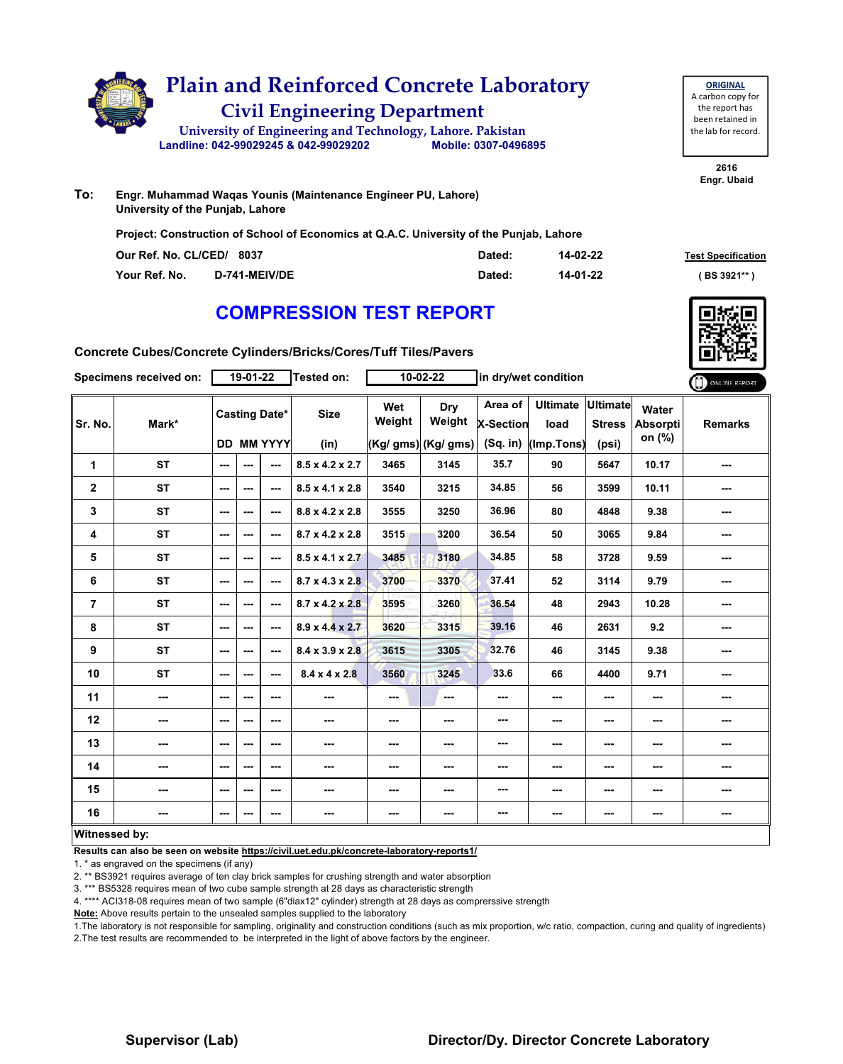

**To: Engr. Muhammad Waqas Younis (Maintenance Engineer PU, Lahore) University of the Punjab, Lahore**

**Project: Construction of School of Economics at Q.A.C. University of the Punjab, Lahore**

| Our Ref. No. CL/CED/ 8037 |                      | Dated: | 14-02-22 | <b>Test Specification</b> |
|---------------------------|----------------------|--------|----------|---------------------------|
| Your Ref. No.             | <b>D-741-MEIV/DE</b> | Dated: | 14-01-22 | (BS 3921**                |

### **COMPRESSION TEST REPORT**

**2616 Engr. Ubaid**

**ORIGINAL** A carbon copy for the report has been retained in the lab for record.

**Concrete Cubes/Concrete Cylinders/Bricks/Cores/Tuff Tiles/Pavers**

|                         | Specimens received on:   |               | 19-01-22 |                      | Tested on:                  |               | 10-02-22             | in dry/wet condition        |                           |                          |                          | ONLINE REPORT  |
|-------------------------|--------------------------|---------------|----------|----------------------|-----------------------------|---------------|----------------------|-----------------------------|---------------------------|--------------------------|--------------------------|----------------|
| Sr. No.                 | Mark*                    |               |          | <b>Casting Date*</b> | <b>Size</b>                 | Wet<br>Weight | Dry<br>Weight        | Area of<br><b>X-Section</b> | Ultimate Ultimate<br>load | <b>Stress</b>            | Water<br><b>Absorpti</b> | <b>Remarks</b> |
|                         |                          |               |          | <b>DD MM YYYY</b>    | (in)                        |               | $(Kg/gms)$ (Kg/ gms) | (Sq. in)                    | (Imp.Tons)                | (psi)                    | on (%)                   |                |
| 1                       | <b>ST</b>                | ---           | ---      | ---                  | $8.5 \times 4.2 \times 2.7$ | 3465          | 3145                 | 35.7                        | 90                        | 5647                     | 10.17                    | ---            |
| $\overline{\mathbf{2}}$ | <b>ST</b>                | ---           | $- - -$  | ---                  | $8.5 \times 4.1 \times 2.8$ | 3540          | 3215                 | 34.85                       | 56                        | 3599                     | 10.11                    | ---            |
| 3                       | <b>ST</b>                | ---           | ---      | $--$                 | 8.8 x 4.2 x 2.8             | 3555          | 3250                 | 36.96                       | 80                        | 4848                     | 9.38                     | ---            |
| 4                       | <b>ST</b>                | $--$          | ---      | ---                  | $8.7 \times 4.2 \times 2.8$ | 3515          | 3200                 | 36.54                       | 50                        | 3065                     | 9.84                     | ---            |
| 5                       | <b>ST</b>                | ---           | ---      | ---                  | $8.5 \times 4.1 \times 2.7$ | 3485          | 3180                 | 34.85                       | 58                        | 3728                     | 9.59                     | ---            |
| 6                       | <b>ST</b>                | $\cdots$      | ---      | $--$                 | $8.7 \times 4.3 \times 2.8$ | 3700          | 3370                 | 37.41                       | 52                        | 3114                     | 9.79                     | ---            |
| 7                       | <b>ST</b>                | $--$          | ---      | ---                  | $8.7 \times 4.2 \times 2.8$ | 3595          | 3260                 | 36.54                       | 48                        | 2943                     | 10.28                    | ---            |
| 8                       | <b>ST</b>                | $--$          | ---      | $- - -$              | $8.9 \times 4.4 \times 2.7$ | 3620          | 3315                 | 39.16                       | 46                        | 2631                     | 9.2                      | ---            |
| 9                       | <b>ST</b>                | $\sim$ $\sim$ | $- - -$  | ---                  | $8.4 \times 3.9 \times 2.8$ | 3615          | 3305                 | 32.76                       | 46                        | 3145                     | 9.38                     | ---            |
| 10                      | <b>ST</b>                | $--$          | ---      | ---                  | $8.4 \times 4 \times 2.8$   | 3560          | 3245                 | 33.6                        | 66                        | 4400                     | 9.71                     | ---            |
| 11                      | $\overline{\phantom{a}}$ | $--$          | ---      | ---                  | ---                         | $--$          | ---                  | ---                         | ---                       | $\overline{\phantom{a}}$ | ---                      |                |
| 12                      | $\overline{\phantom{a}}$ | $--$          | ---      | ---                  | $\sim$                      | ---           | ---                  | ---                         | ---                       | $--$                     | ---                      |                |
| 13                      | $\sim$                   | $--$          | ---      | ---                  | $\cdots$                    | ---           | ---                  | ---                         | ---                       | $--$                     | ---                      | ---            |
| 14                      | ---                      | $--$          | ---      | ---                  | ---                         | $--$          | ---                  | ---                         | $--$                      | ---                      | $\overline{\phantom{a}}$ | ---            |
| 15                      | ---                      | ---           | ---      | $--$                 | ---                         | ---           | ---                  | ---                         | ---                       | $\sim$                   | ---                      | ---            |
| 16                      | $\overline{\phantom{a}}$ | ---           | ---      | ---                  | ---                         | ---           | ---                  | ---                         | ---                       | ---                      | $\cdots$                 | ---            |
| Witnessed by:           |                          |               |          |                      |                             |               |                      |                             |                           |                          |                          |                |

**Results can also be seen on website https://civil.uet.edu.pk/concrete-laboratory-reports1/**

1. \* as engraved on the specimens (if any)

2. \*\* BS3921 requires average of ten clay brick samples for crushing strength and water absorption

3. \*\*\* BS5328 requires mean of two cube sample strength at 28 days as characteristic strength

4. \*\*\*\* ACI318-08 requires mean of two sample (6"diax12" cylinder) strength at 28 days as comprerssive strength

**Note:** Above results pertain to the unsealed samples supplied to the laboratory